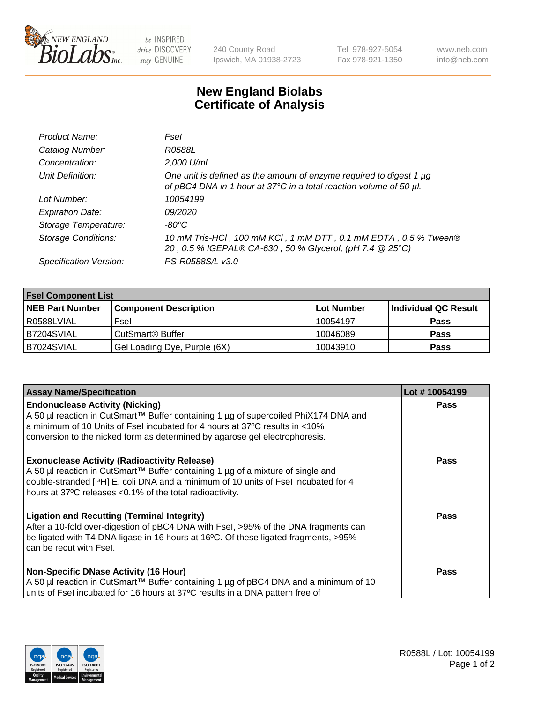

 $be$  INSPIRED drive DISCOVERY stay GENUINE

240 County Road Ipswich, MA 01938-2723 Tel 978-927-5054 Fax 978-921-1350 www.neb.com info@neb.com

## **New England Biolabs Certificate of Analysis**

| Product Name:              | Fsel                                                                                                                                      |
|----------------------------|-------------------------------------------------------------------------------------------------------------------------------------------|
| Catalog Number:            | R0588L                                                                                                                                    |
| Concentration:             | 2,000 U/ml                                                                                                                                |
| Unit Definition:           | One unit is defined as the amount of enzyme required to digest 1 µg<br>of pBC4 DNA in 1 hour at 37°C in a total reaction volume of 50 µl. |
| Lot Number:                | 10054199                                                                                                                                  |
| <b>Expiration Date:</b>    | 09/2020                                                                                                                                   |
| Storage Temperature:       | -80°C.                                                                                                                                    |
| <b>Storage Conditions:</b> | 10 mM Tris-HCl, 100 mM KCl, 1 mM DTT, 0.1 mM EDTA, 0.5 % Tween®<br>20, 0.5 % IGEPAL® CA-630, 50 % Glycerol, (pH 7.4 @ 25°C)               |
| Specification Version:     | PS-R0588S/L v3.0                                                                                                                          |

| <b>Fsel Component List</b> |                              |            |                      |  |  |
|----------------------------|------------------------------|------------|----------------------|--|--|
| <b>NEB Part Number</b>     | <b>Component Description</b> | Lot Number | Individual QC Result |  |  |
| R0588LVIAL                 | Fsel                         | 10054197   | <b>Pass</b>          |  |  |
| B7204SVIAL                 | CutSmart <sup>®</sup> Buffer | 10046089   | <b>Pass</b>          |  |  |
| B7024SVIAL                 | Gel Loading Dye, Purple (6X) | 10043910   | <b>Pass</b>          |  |  |

| <b>Assay Name/Specification</b>                                                                                                                                                                                                                                                            | Lot #10054199 |
|--------------------------------------------------------------------------------------------------------------------------------------------------------------------------------------------------------------------------------------------------------------------------------------------|---------------|
| <b>Endonuclease Activity (Nicking)</b><br>  A 50 µl reaction in CutSmart™ Buffer containing 1 µg of supercoiled PhiX174 DNA and                                                                                                                                                            | <b>Pass</b>   |
| a minimum of 10 Units of Fsel incubated for 4 hours at 37°C results in <10%<br>conversion to the nicked form as determined by agarose gel electrophoresis.                                                                                                                                 |               |
| <b>Exonuclease Activity (Radioactivity Release)</b><br>  A 50 µl reaction in CutSmart™ Buffer containing 1 µg of a mixture of single and<br>double-stranded [3H] E. coli DNA and a minimum of 10 units of Fsel incubated for 4<br>hours at 37°C releases <0.1% of the total radioactivity. | Pass          |
| <b>Ligation and Recutting (Terminal Integrity)</b><br>After a 10-fold over-digestion of pBC4 DNA with Fsel, >95% of the DNA fragments can<br>be ligated with T4 DNA ligase in 16 hours at 16°C. Of these ligated fragments, >95%<br>can be recut with Fsel.                                | Pass          |
| <b>Non-Specific DNase Activity (16 Hour)</b>                                                                                                                                                                                                                                               | <b>Pass</b>   |
| A 50 µl reaction in CutSmart™ Buffer containing 1 µg of pBC4 DNA and a minimum of 10<br>units of Fsel incubated for 16 hours at 37°C results in a DNA pattern free of                                                                                                                      |               |